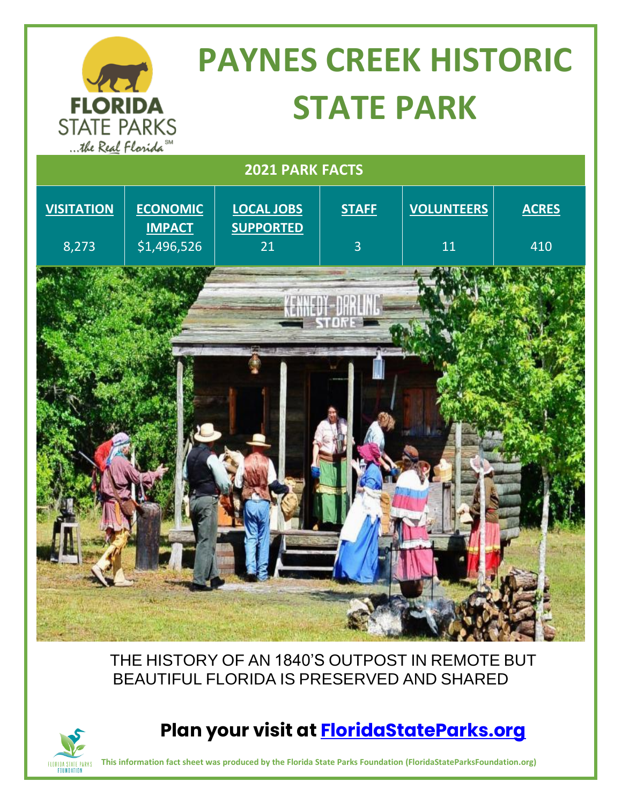| <b>PAYNES CREEK HISTORIC</b><br>421                         |                                  |                                       |                |                   |              |
|-------------------------------------------------------------|----------------------------------|---------------------------------------|----------------|-------------------|--------------|
| <b>FLORIDA</b><br><b>STATE PARKS</b><br>the Real Florida SM |                                  | <b>STATE PARK</b>                     |                |                   |              |
| <b>2021 PARK FACTS</b>                                      |                                  |                                       |                |                   |              |
| <b>VISITATION</b>                                           | <b>ECONOMIC</b><br><b>IMPACT</b> | <b>LOCAL JOBS</b><br><b>SUPPORTED</b> | <b>STAFF</b>   | <b>VOLUNTEERS</b> | <b>ACRES</b> |
| 8,273                                                       | \$1,496,526                      | 21                                    | $\overline{3}$ | 11                | 410          |
|                                                             |                                  |                                       |                |                   |              |

THE HISTORY OF AN 1840'S OUTPOST IN REMOTE BUT BEAUTIFUL FLORIDA IS PRESERVED AND SHARED



#### **Plan your visit at [FloridaStateParks.org](http://www.floridastateparks.org/)**

**This information fact sheet was produced by the Florida State Parks Foundation (FloridaStateParksFoundation.org)**